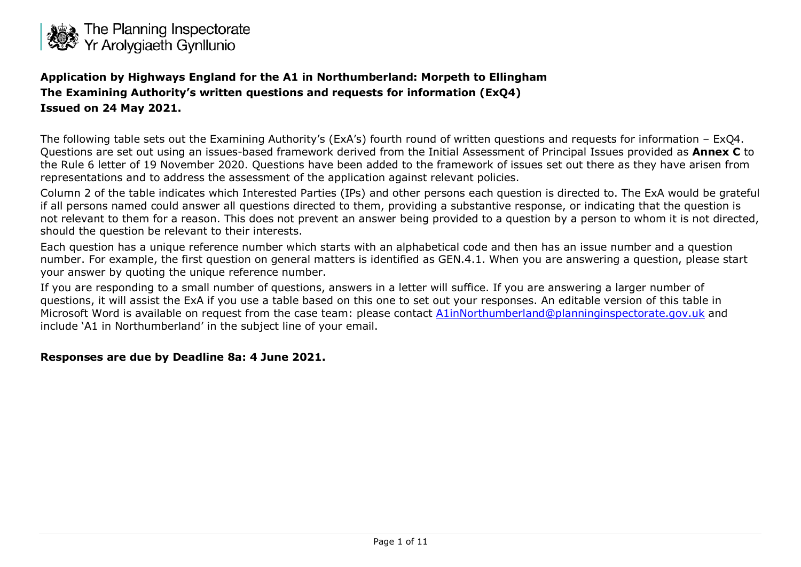

**Application by Highways England for the A1 in Northumberland: Morpeth to Ellingham The Examining Authority's written questions and requests for information (ExQ4) Issued on 24 May 2021.**

The following table sets out the Examining Authority's (ExA's) fourth round of written questions and requests for information – ExQ4. Questions are set out using an issues-based framework derived from the Initial Assessment of Principal Issues provided as **Annex C** to the Rule 6 letter of 19 November 2020. Questions have been added to the framework of issues set out there as they have arisen from representations and to address the assessment of the application against relevant policies.

Column 2 of the table indicates which Interested Parties (IPs) and other persons each question is directed to. The ExA would be grateful if all persons named could answer all questions directed to them, providing a substantive response, or indicating that the question is not relevant to them for a reason. This does not prevent an answer being provided to a question by a person to whom it is not directed, should the question be relevant to their interests.

Each question has a unique reference number which starts with an alphabetical code and then has an issue number and a question number. For example, the first question on general matters is identified as GEN.4.1. When you are answering a question, please start your answer by quoting the unique reference number.

If you are responding to a small number of questions, answers in a letter will suffice. If you are answering a larger number of questions, it will assist the ExA if you use a table based on this one to set out your responses. An editable version of this table in Microsoft Word is available on request from the case team: please contact [A1inNorthumberland@planninginspectorate.gov.uk](mailto:A1inNorthumberland@planninginspectorate.gov.uk) and include 'A1 in Northumberland' in the subject line of your email.

#### **Responses are due by Deadline 8a: 4 June 2021.**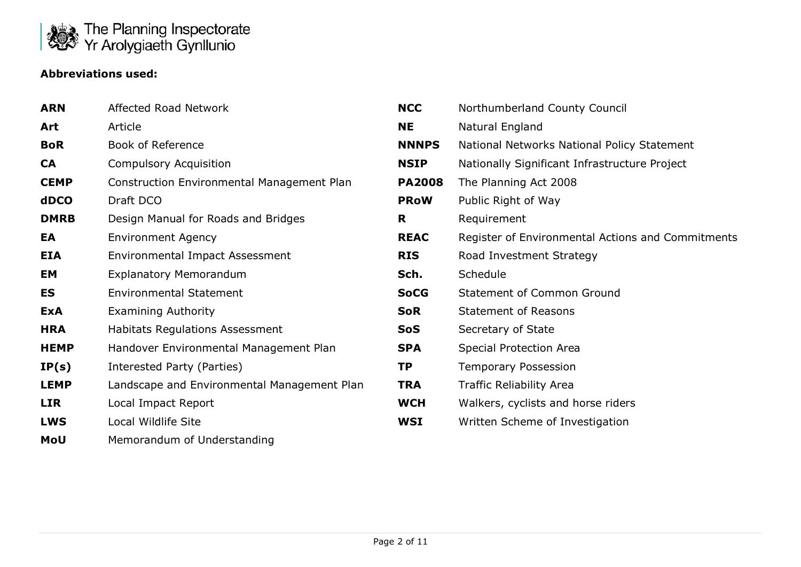

### **Abbreviations used:**

| <b>ARN</b>  | Affected Road Network                             | <b>NCC</b>    | Northumberland County Council                     |
|-------------|---------------------------------------------------|---------------|---------------------------------------------------|
| Art         | Article                                           | <b>NE</b>     | Natural England                                   |
| <b>BoR</b>  | <b>Book of Reference</b>                          | <b>NNNPS</b>  | National Networks National Policy Statement       |
| <b>CA</b>   | <b>Compulsory Acquisition</b>                     | <b>NSIP</b>   | Nationally Significant Infrastructure Project     |
| <b>CEMP</b> | <b>Construction Environmental Management Plan</b> | <b>PA2008</b> | The Planning Act 2008                             |
| <b>dDCO</b> | Draft DCO                                         | <b>PRoW</b>   | Public Right of Way                               |
| <b>DMRB</b> | Design Manual for Roads and Bridges               | R             | Requirement                                       |
| EA          | <b>Environment Agency</b>                         | <b>REAC</b>   | Register of Environmental Actions and Commitments |
| <b>EIA</b>  | <b>Environmental Impact Assessment</b>            | <b>RIS</b>    | Road Investment Strategy                          |
| EM          | <b>Explanatory Memorandum</b>                     | Sch.          | Schedule                                          |
| ES          | <b>Environmental Statement</b>                    | <b>SoCG</b>   | <b>Statement of Common Ground</b>                 |
| <b>ExA</b>  | <b>Examining Authority</b>                        | <b>SoR</b>    | <b>Statement of Reasons</b>                       |
| <b>HRA</b>  | <b>Habitats Regulations Assessment</b>            | SoS           | Secretary of State                                |
| <b>HEMP</b> | Handover Environmental Management Plan            | <b>SPA</b>    | Special Protection Area                           |
| IP(s)       | Interested Party (Parties)                        | ΤP            | <b>Temporary Possession</b>                       |
| <b>LEMP</b> | Landscape and Environmental Management Plan       | <b>TRA</b>    | <b>Traffic Reliability Area</b>                   |
| <b>LIR</b>  | Local Impact Report                               | <b>WCH</b>    | Walkers, cyclists and horse riders                |
| <b>LWS</b>  | Local Wildlife Site                               | <b>WSI</b>    | Written Scheme of Investigation                   |
| <b>MoU</b>  | Memorandum of Understanding                       |               |                                                   |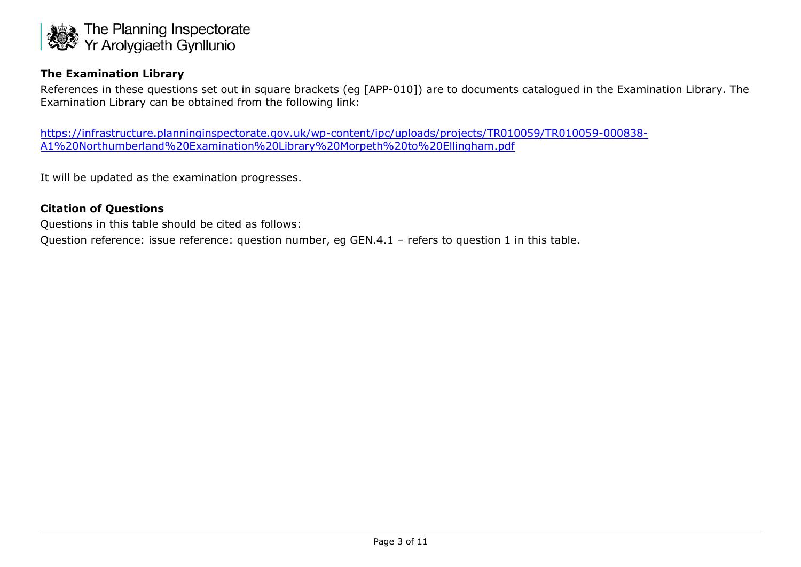

#### **The Examination Library**

References in these questions set out in square brackets (eg [APP-010]) are to documents catalogued in the Examination Library. The Examination Library can be obtained from the following link:

[https://infrastructure.planninginspectorate.gov.uk/wp-content/ipc/uploads/projects/TR010059/TR010059-000838-](https://infrastructure.planninginspectorate.gov.uk/wp-content/ipc/uploads/projects/TR010059/TR010059-000838-A1%20Northumberland%20Examination%20Library%20Morpeth%20to%20Ellingham.pdf) [A1%20Northumberland%20Examination%20Library%20Morpeth%20to%20Ellingham.pdf](https://infrastructure.planninginspectorate.gov.uk/wp-content/ipc/uploads/projects/TR010059/TR010059-000838-A1%20Northumberland%20Examination%20Library%20Morpeth%20to%20Ellingham.pdf)

It will be updated as the examination progresses.

#### **Citation of Questions**

Questions in this table should be cited as follows:

Question reference: issue reference: question number, eg GEN.4.1 - refers to question 1 in this table.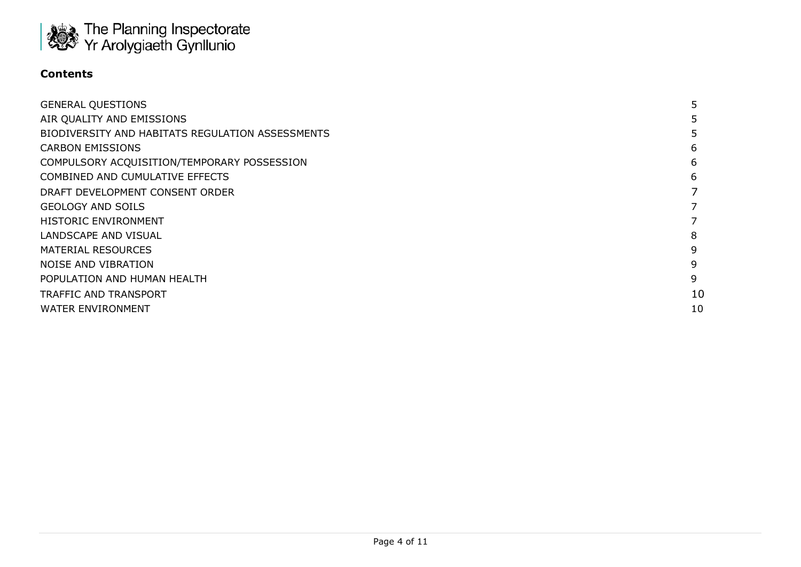

### **Contents**

| <b>GENERAL QUESTIONS</b>                         | 5  |
|--------------------------------------------------|----|
| AIR QUALITY AND EMISSIONS                        | 5  |
| BIODIVERSITY AND HABITATS REGULATION ASSESSMENTS | 5  |
| <b>CARBON EMISSIONS</b>                          | 6  |
| COMPULSORY ACQUISITION/TEMPORARY POSSESSION      | 6  |
| COMBINED AND CUMULATIVE EFFECTS                  | 6  |
| DRAFT DEVELOPMENT CONSENT ORDER                  |    |
| <b>GEOLOGY AND SOILS</b>                         |    |
| HISTORIC ENVIRONMENT                             |    |
| <b>LANDSCAPE AND VISUAL</b>                      | 8  |
| <b>MATERIAL RESOURCES</b>                        | 9  |
| <b>NOISE AND VIBRATION</b>                       | 9  |
| POPULATION AND HUMAN HEALTH                      | 9  |
| <b>TRAFFIC AND TRANSPORT</b>                     | 10 |
| <b>WATER ENVIRONMENT</b>                         | 10 |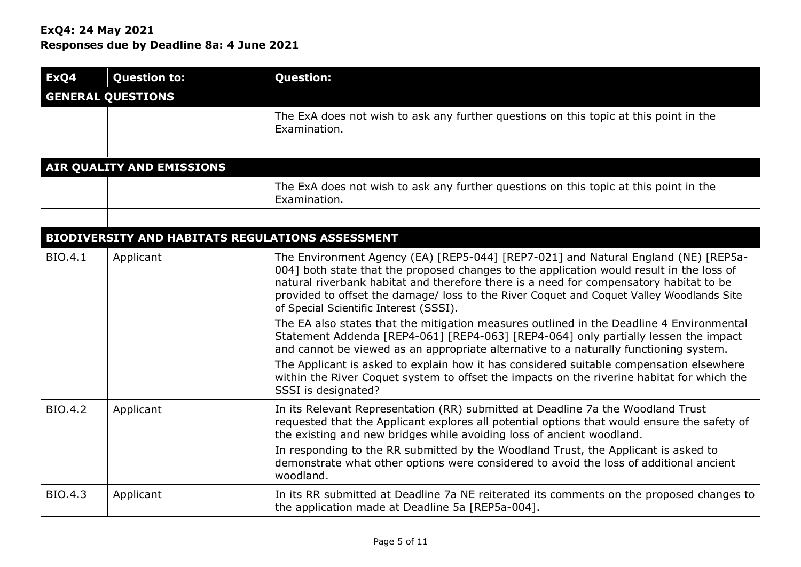| ExQ4           | <b>Question to:</b>       | <b>Question:</b>                                                                                                                                                                                                                                                                                                                                                                                               |  |
|----------------|---------------------------|----------------------------------------------------------------------------------------------------------------------------------------------------------------------------------------------------------------------------------------------------------------------------------------------------------------------------------------------------------------------------------------------------------------|--|
|                | <b>GENERAL QUESTIONS</b>  |                                                                                                                                                                                                                                                                                                                                                                                                                |  |
|                |                           | The ExA does not wish to ask any further questions on this topic at this point in the<br>Examination.                                                                                                                                                                                                                                                                                                          |  |
|                |                           |                                                                                                                                                                                                                                                                                                                                                                                                                |  |
|                | AIR QUALITY AND EMISSIONS |                                                                                                                                                                                                                                                                                                                                                                                                                |  |
|                |                           | The ExA does not wish to ask any further questions on this topic at this point in the<br>Examination.                                                                                                                                                                                                                                                                                                          |  |
|                |                           |                                                                                                                                                                                                                                                                                                                                                                                                                |  |
|                |                           | <b>BIODIVERSITY AND HABITATS REGULATIONS ASSESSMENT</b>                                                                                                                                                                                                                                                                                                                                                        |  |
| <b>BIO.4.1</b> | Applicant                 | The Environment Agency (EA) [REP5-044] [REP7-021] and Natural England (NE) [REP5a-<br>004] both state that the proposed changes to the application would result in the loss of<br>natural riverbank habitat and therefore there is a need for compensatory habitat to be<br>provided to offset the damage/ loss to the River Coquet and Coquet Valley Woodlands Site<br>of Special Scientific Interest (SSSI). |  |
|                |                           | The EA also states that the mitigation measures outlined in the Deadline 4 Environmental<br>Statement Addenda [REP4-061] [REP4-063] [REP4-064] only partially lessen the impact<br>and cannot be viewed as an appropriate alternative to a naturally functioning system.                                                                                                                                       |  |
|                |                           | The Applicant is asked to explain how it has considered suitable compensation elsewhere<br>within the River Coquet system to offset the impacts on the riverine habitat for which the<br>SSSI is designated?                                                                                                                                                                                                   |  |
| BIO.4.2        | Applicant                 | In its Relevant Representation (RR) submitted at Deadline 7a the Woodland Trust<br>requested that the Applicant explores all potential options that would ensure the safety of<br>the existing and new bridges while avoiding loss of ancient woodland.                                                                                                                                                        |  |
|                |                           | In responding to the RR submitted by the Woodland Trust, the Applicant is asked to<br>demonstrate what other options were considered to avoid the loss of additional ancient<br>woodland.                                                                                                                                                                                                                      |  |
| <b>BIO.4.3</b> | Applicant                 | In its RR submitted at Deadline 7a NE reiterated its comments on the proposed changes to<br>the application made at Deadline 5a [REP5a-004].                                                                                                                                                                                                                                                                   |  |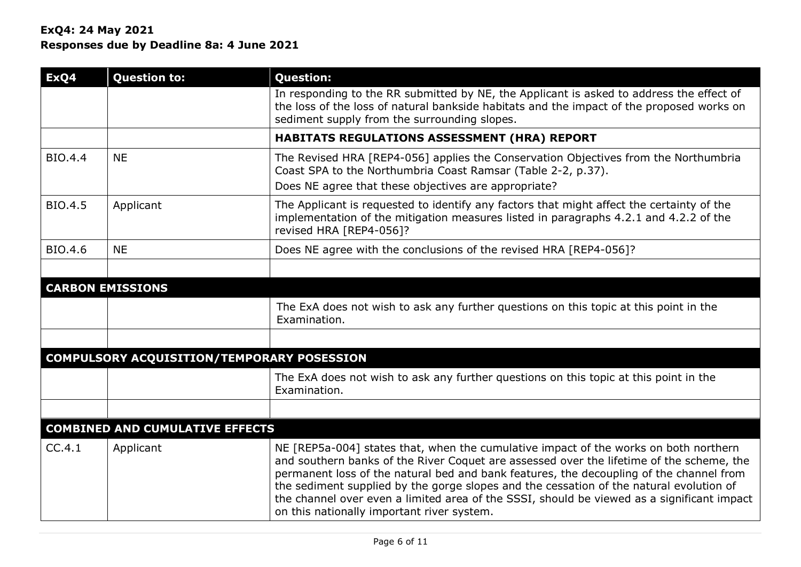| ExQ4    | <b>Question to:</b>                    | <b>Question:</b>                                                                                                                                                                                                                                                                                                                                                                                                                                                                                                   |
|---------|----------------------------------------|--------------------------------------------------------------------------------------------------------------------------------------------------------------------------------------------------------------------------------------------------------------------------------------------------------------------------------------------------------------------------------------------------------------------------------------------------------------------------------------------------------------------|
|         |                                        | In responding to the RR submitted by NE, the Applicant is asked to address the effect of<br>the loss of the loss of natural bankside habitats and the impact of the proposed works on<br>sediment supply from the surrounding slopes.                                                                                                                                                                                                                                                                              |
|         |                                        | HABITATS REGULATIONS ASSESSMENT (HRA) REPORT                                                                                                                                                                                                                                                                                                                                                                                                                                                                       |
| BIO.4.4 | <b>NE</b>                              | The Revised HRA [REP4-056] applies the Conservation Objectives from the Northumbria<br>Coast SPA to the Northumbria Coast Ramsar (Table 2-2, p.37).                                                                                                                                                                                                                                                                                                                                                                |
|         |                                        | Does NE agree that these objectives are appropriate?                                                                                                                                                                                                                                                                                                                                                                                                                                                               |
| BIO.4.5 | Applicant                              | The Applicant is requested to identify any factors that might affect the certainty of the<br>implementation of the mitigation measures listed in paragraphs 4.2.1 and 4.2.2 of the<br>revised HRA [REP4-056]?                                                                                                                                                                                                                                                                                                      |
| BIO.4.6 | <b>NE</b>                              | Does NE agree with the conclusions of the revised HRA [REP4-056]?                                                                                                                                                                                                                                                                                                                                                                                                                                                  |
|         |                                        |                                                                                                                                                                                                                                                                                                                                                                                                                                                                                                                    |
|         | <b>CARBON EMISSIONS</b>                |                                                                                                                                                                                                                                                                                                                                                                                                                                                                                                                    |
|         |                                        | The ExA does not wish to ask any further questions on this topic at this point in the<br>Examination.                                                                                                                                                                                                                                                                                                                                                                                                              |
|         |                                        |                                                                                                                                                                                                                                                                                                                                                                                                                                                                                                                    |
|         |                                        | COMPULSORY ACQUISITION/TEMPORARY POSESSION                                                                                                                                                                                                                                                                                                                                                                                                                                                                         |
|         |                                        | The ExA does not wish to ask any further questions on this topic at this point in the<br>Examination.                                                                                                                                                                                                                                                                                                                                                                                                              |
|         |                                        |                                                                                                                                                                                                                                                                                                                                                                                                                                                                                                                    |
|         | <b>COMBINED AND CUMULATIVE EFFECTS</b> |                                                                                                                                                                                                                                                                                                                                                                                                                                                                                                                    |
| CC.4.1  | Applicant                              | NE [REP5a-004] states that, when the cumulative impact of the works on both northern<br>and southern banks of the River Coquet are assessed over the lifetime of the scheme, the<br>permanent loss of the natural bed and bank features, the decoupling of the channel from<br>the sediment supplied by the gorge slopes and the cessation of the natural evolution of<br>the channel over even a limited area of the SSSI, should be viewed as a significant impact<br>on this nationally important river system. |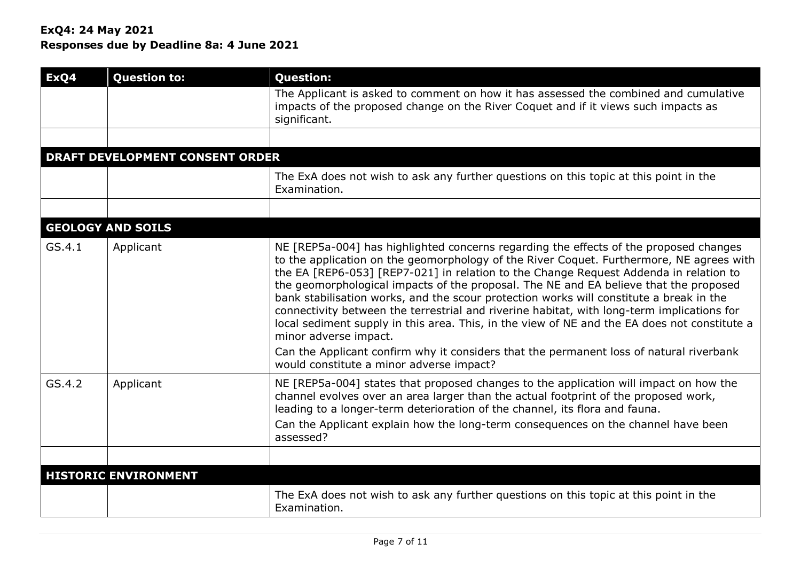| ExQ4   | <b>Question to:</b>                    | <b>Question:</b>                                                                                                                                                                                                                                                                                                                                                                                                                                                                                                                                                                                                                                                                                                                                                                                                             |
|--------|----------------------------------------|------------------------------------------------------------------------------------------------------------------------------------------------------------------------------------------------------------------------------------------------------------------------------------------------------------------------------------------------------------------------------------------------------------------------------------------------------------------------------------------------------------------------------------------------------------------------------------------------------------------------------------------------------------------------------------------------------------------------------------------------------------------------------------------------------------------------------|
|        |                                        | The Applicant is asked to comment on how it has assessed the combined and cumulative<br>impacts of the proposed change on the River Coquet and if it views such impacts as<br>significant.                                                                                                                                                                                                                                                                                                                                                                                                                                                                                                                                                                                                                                   |
|        |                                        |                                                                                                                                                                                                                                                                                                                                                                                                                                                                                                                                                                                                                                                                                                                                                                                                                              |
|        | <b>DRAFT DEVELOPMENT CONSENT ORDER</b> |                                                                                                                                                                                                                                                                                                                                                                                                                                                                                                                                                                                                                                                                                                                                                                                                                              |
|        |                                        | The ExA does not wish to ask any further questions on this topic at this point in the<br>Examination.                                                                                                                                                                                                                                                                                                                                                                                                                                                                                                                                                                                                                                                                                                                        |
|        |                                        |                                                                                                                                                                                                                                                                                                                                                                                                                                                                                                                                                                                                                                                                                                                                                                                                                              |
|        | <b>GEOLOGY AND SOILS</b>               |                                                                                                                                                                                                                                                                                                                                                                                                                                                                                                                                                                                                                                                                                                                                                                                                                              |
| GS.4.1 | Applicant                              | NE [REP5a-004] has highlighted concerns regarding the effects of the proposed changes<br>to the application on the geomorphology of the River Coquet. Furthermore, NE agrees with<br>the EA [REP6-053] [REP7-021] in relation to the Change Request Addenda in relation to<br>the geomorphological impacts of the proposal. The NE and EA believe that the proposed<br>bank stabilisation works, and the scour protection works will constitute a break in the<br>connectivity between the terrestrial and riverine habitat, with long-term implications for<br>local sediment supply in this area. This, in the view of NE and the EA does not constitute a<br>minor adverse impact.<br>Can the Applicant confirm why it considers that the permanent loss of natural riverbank<br>would constitute a minor adverse impact? |
| GS.4.2 | Applicant                              | NE [REP5a-004] states that proposed changes to the application will impact on how the<br>channel evolves over an area larger than the actual footprint of the proposed work,<br>leading to a longer-term deterioration of the channel, its flora and fauna.<br>Can the Applicant explain how the long-term consequences on the channel have been<br>assessed?                                                                                                                                                                                                                                                                                                                                                                                                                                                                |
|        |                                        |                                                                                                                                                                                                                                                                                                                                                                                                                                                                                                                                                                                                                                                                                                                                                                                                                              |
|        | <b>HISTORIC ENVIRONMENT</b>            |                                                                                                                                                                                                                                                                                                                                                                                                                                                                                                                                                                                                                                                                                                                                                                                                                              |
|        |                                        | The ExA does not wish to ask any further questions on this topic at this point in the<br>Examination.                                                                                                                                                                                                                                                                                                                                                                                                                                                                                                                                                                                                                                                                                                                        |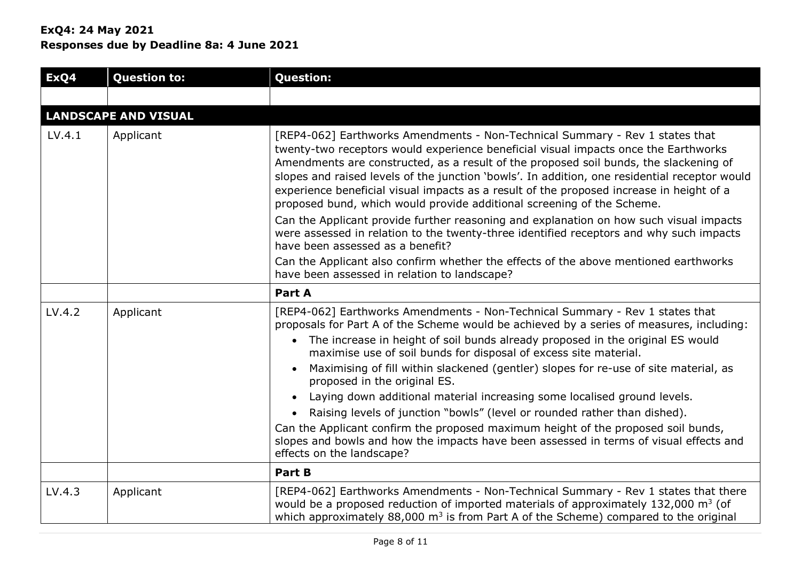| ExQ4                        | <b>Question to:</b> | <b>Question:</b>                                                                                                                                                                                                                                                                                                                                                                                                                                                                                                                                                                                                                                                                                                         |
|-----------------------------|---------------------|--------------------------------------------------------------------------------------------------------------------------------------------------------------------------------------------------------------------------------------------------------------------------------------------------------------------------------------------------------------------------------------------------------------------------------------------------------------------------------------------------------------------------------------------------------------------------------------------------------------------------------------------------------------------------------------------------------------------------|
|                             |                     |                                                                                                                                                                                                                                                                                                                                                                                                                                                                                                                                                                                                                                                                                                                          |
| <b>LANDSCAPE AND VISUAL</b> |                     |                                                                                                                                                                                                                                                                                                                                                                                                                                                                                                                                                                                                                                                                                                                          |
| LV.4.1                      | Applicant           | [REP4-062] Earthworks Amendments - Non-Technical Summary - Rev 1 states that<br>twenty-two receptors would experience beneficial visual impacts once the Earthworks<br>Amendments are constructed, as a result of the proposed soil bunds, the slackening of<br>slopes and raised levels of the junction 'bowls'. In addition, one residential receptor would<br>experience beneficial visual impacts as a result of the proposed increase in height of a<br>proposed bund, which would provide additional screening of the Scheme.<br>Can the Applicant provide further reasoning and explanation on how such visual impacts<br>were assessed in relation to the twenty-three identified receptors and why such impacts |
|                             |                     | have been assessed as a benefit?                                                                                                                                                                                                                                                                                                                                                                                                                                                                                                                                                                                                                                                                                         |
|                             |                     | Can the Applicant also confirm whether the effects of the above mentioned earthworks<br>have been assessed in relation to landscape?                                                                                                                                                                                                                                                                                                                                                                                                                                                                                                                                                                                     |
|                             |                     | Part A                                                                                                                                                                                                                                                                                                                                                                                                                                                                                                                                                                                                                                                                                                                   |
| LV.4.2                      | Applicant           | [REP4-062] Earthworks Amendments - Non-Technical Summary - Rev 1 states that<br>proposals for Part A of the Scheme would be achieved by a series of measures, including:                                                                                                                                                                                                                                                                                                                                                                                                                                                                                                                                                 |
|                             |                     | • The increase in height of soil bunds already proposed in the original ES would<br>maximise use of soil bunds for disposal of excess site material.                                                                                                                                                                                                                                                                                                                                                                                                                                                                                                                                                                     |
|                             |                     | Maximising of fill within slackened (gentler) slopes for re-use of site material, as<br>proposed in the original ES.                                                                                                                                                                                                                                                                                                                                                                                                                                                                                                                                                                                                     |
|                             |                     | Laying down additional material increasing some localised ground levels.<br>$\bullet$                                                                                                                                                                                                                                                                                                                                                                                                                                                                                                                                                                                                                                    |
|                             |                     | Raising levels of junction "bowls" (level or rounded rather than dished).<br>$\bullet$                                                                                                                                                                                                                                                                                                                                                                                                                                                                                                                                                                                                                                   |
|                             |                     | Can the Applicant confirm the proposed maximum height of the proposed soil bunds,<br>slopes and bowls and how the impacts have been assessed in terms of visual effects and<br>effects on the landscape?                                                                                                                                                                                                                                                                                                                                                                                                                                                                                                                 |
|                             |                     | Part B                                                                                                                                                                                                                                                                                                                                                                                                                                                                                                                                                                                                                                                                                                                   |
| LV.4.3                      | Applicant           | [REP4-062] Earthworks Amendments - Non-Technical Summary - Rev 1 states that there<br>would be a proposed reduction of imported materials of approximately 132,000 $m3$ (of<br>which approximately 88,000 $m3$ is from Part A of the Scheme) compared to the original                                                                                                                                                                                                                                                                                                                                                                                                                                                    |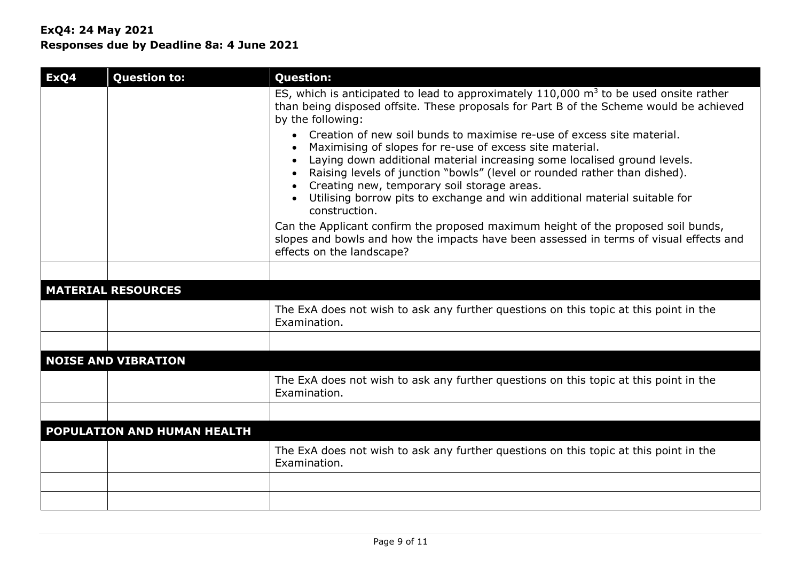| ExQ4 | <b>Question to:</b>         | <b>Question:</b>                                                                                                                                                                                                                                                                                                                                                                                                                          |
|------|-----------------------------|-------------------------------------------------------------------------------------------------------------------------------------------------------------------------------------------------------------------------------------------------------------------------------------------------------------------------------------------------------------------------------------------------------------------------------------------|
|      |                             | ES, which is anticipated to lead to approximately $110,000$ m <sup>3</sup> to be used onsite rather<br>than being disposed offsite. These proposals for Part B of the Scheme would be achieved<br>by the following:                                                                                                                                                                                                                       |
|      |                             | Creation of new soil bunds to maximise re-use of excess site material.<br>Maximising of slopes for re-use of excess site material.<br>Laying down additional material increasing some localised ground levels.<br>Raising levels of junction "bowls" (level or rounded rather than dished).<br>Creating new, temporary soil storage areas.<br>Utilising borrow pits to exchange and win additional material suitable for<br>construction. |
|      |                             | Can the Applicant confirm the proposed maximum height of the proposed soil bunds,<br>slopes and bowls and how the impacts have been assessed in terms of visual effects and<br>effects on the landscape?                                                                                                                                                                                                                                  |
|      |                             |                                                                                                                                                                                                                                                                                                                                                                                                                                           |
|      | <b>MATERIAL RESOURCES</b>   |                                                                                                                                                                                                                                                                                                                                                                                                                                           |
|      |                             | The ExA does not wish to ask any further questions on this topic at this point in the<br>Examination.                                                                                                                                                                                                                                                                                                                                     |
|      |                             |                                                                                                                                                                                                                                                                                                                                                                                                                                           |
|      | <b>NOISE AND VIBRATION</b>  |                                                                                                                                                                                                                                                                                                                                                                                                                                           |
|      |                             | The ExA does not wish to ask any further questions on this topic at this point in the<br>Examination.                                                                                                                                                                                                                                                                                                                                     |
|      |                             |                                                                                                                                                                                                                                                                                                                                                                                                                                           |
|      | POPULATION AND HUMAN HEALTH |                                                                                                                                                                                                                                                                                                                                                                                                                                           |
|      |                             | The ExA does not wish to ask any further questions on this topic at this point in the<br>Examination.                                                                                                                                                                                                                                                                                                                                     |
|      |                             |                                                                                                                                                                                                                                                                                                                                                                                                                                           |
|      |                             |                                                                                                                                                                                                                                                                                                                                                                                                                                           |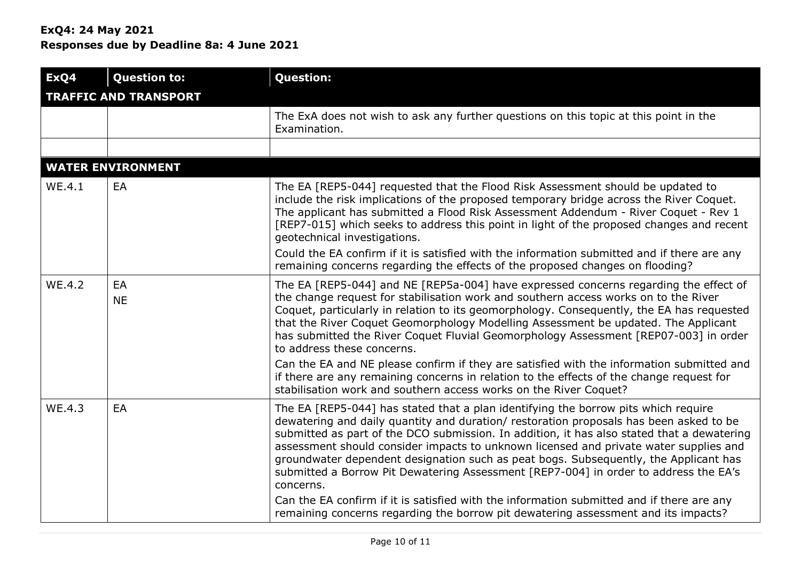| ExQ4          | <b>Question to:</b>          | <b>Question:</b>                                                                                                                                                                                                                                                                                                                                                                                                                                                                                                                                                                                                                                                                                                                                    |  |
|---------------|------------------------------|-----------------------------------------------------------------------------------------------------------------------------------------------------------------------------------------------------------------------------------------------------------------------------------------------------------------------------------------------------------------------------------------------------------------------------------------------------------------------------------------------------------------------------------------------------------------------------------------------------------------------------------------------------------------------------------------------------------------------------------------------------|--|
|               | <b>TRAFFIC AND TRANSPORT</b> |                                                                                                                                                                                                                                                                                                                                                                                                                                                                                                                                                                                                                                                                                                                                                     |  |
|               |                              | The ExA does not wish to ask any further questions on this topic at this point in the<br>Examination.                                                                                                                                                                                                                                                                                                                                                                                                                                                                                                                                                                                                                                               |  |
|               |                              |                                                                                                                                                                                                                                                                                                                                                                                                                                                                                                                                                                                                                                                                                                                                                     |  |
|               | <b>WATER ENVIRONMENT</b>     |                                                                                                                                                                                                                                                                                                                                                                                                                                                                                                                                                                                                                                                                                                                                                     |  |
| <b>WE.4.1</b> | EA                           | The EA [REP5-044] requested that the Flood Risk Assessment should be updated to<br>include the risk implications of the proposed temporary bridge across the River Coquet.<br>The applicant has submitted a Flood Risk Assessment Addendum - River Coquet - Rev 1<br>[REP7-015] which seeks to address this point in light of the proposed changes and recent<br>geotechnical investigations.<br>Could the EA confirm if it is satisfied with the information submitted and if there are any<br>remaining concerns regarding the effects of the proposed changes on flooding?                                                                                                                                                                       |  |
| <b>WE.4.2</b> | EA<br><b>NE</b>              | The EA [REP5-044] and NE [REP5a-004] have expressed concerns regarding the effect of<br>the change request for stabilisation work and southern access works on to the River<br>Coquet, particularly in relation to its geomorphology. Consequently, the EA has requested<br>that the River Coquet Geomorphology Modelling Assessment be updated. The Applicant<br>has submitted the River Coquet Fluvial Geomorphology Assessment [REP07-003] in order<br>to address these concerns.<br>Can the EA and NE please confirm if they are satisfied with the information submitted and<br>if there are any remaining concerns in relation to the effects of the change request for<br>stabilisation work and southern access works on the River Coquet?  |  |
| <b>WE.4.3</b> | EA                           | The EA [REP5-044] has stated that a plan identifying the borrow pits which require<br>dewatering and daily quantity and duration/ restoration proposals has been asked to be<br>submitted as part of the DCO submission. In addition, it has also stated that a dewatering<br>assessment should consider impacts to unknown licensed and private water supplies and<br>groundwater dependent designation such as peat bogs. Subsequently, the Applicant has<br>submitted a Borrow Pit Dewatering Assessment [REP7-004] in order to address the EA's<br>concerns.<br>Can the EA confirm if it is satisfied with the information submitted and if there are any<br>remaining concerns regarding the borrow pit dewatering assessment and its impacts? |  |